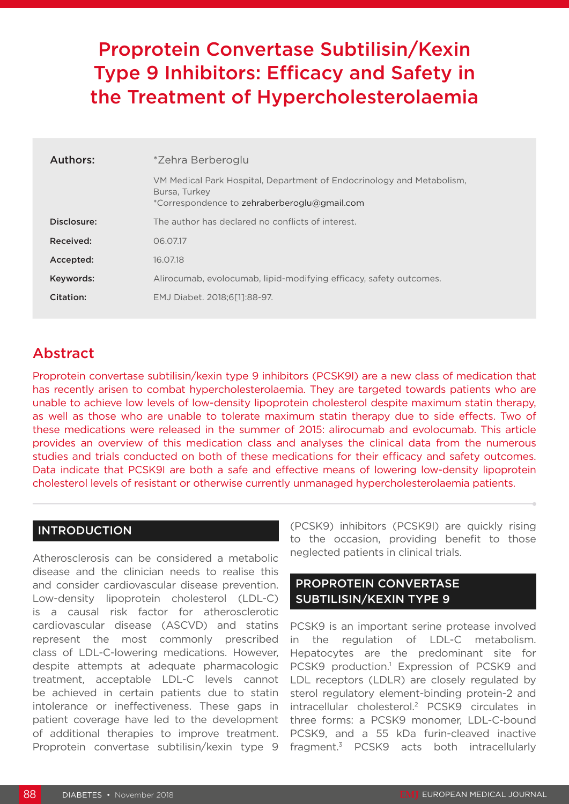# Proprotein Convertase Subtilisin/Kexin Type 9 Inhibitors: Efficacy and Safety in the Treatment of Hypercholesterolaemia

| Authors:    | *Zehra Berberoglu                                                                                                                      |  |  |  |
|-------------|----------------------------------------------------------------------------------------------------------------------------------------|--|--|--|
|             | VM Medical Park Hospital, Department of Endocrinology and Metabolism,<br>Bursa, Turkey<br>*Correspondence to zehraberberoglu@gmail.com |  |  |  |
| Disclosure: | The author has declared no conflicts of interest.                                                                                      |  |  |  |
| Received:   | 06.07.17                                                                                                                               |  |  |  |
| Accepted:   | 16.07.18                                                                                                                               |  |  |  |
| Keywords:   | Alirocumab, evolocumab, lipid-modifying efficacy, safety outcomes.                                                                     |  |  |  |
| Citation:   | EMJ Diabet. 2018:6[11:88-97.                                                                                                           |  |  |  |

# Abstract

Proprotein convertase subtilisin/kexin type 9 inhibitors (PCSK9I) are a new class of medication that has recently arisen to combat hypercholesterolaemia. They are targeted towards patients who are unable to achieve low levels of low-density lipoprotein cholesterol despite maximum statin therapy, as well as those who are unable to tolerate maximum statin therapy due to side effects. Two of these medications were released in the summer of 2015: alirocumab and evolocumab. This article provides an overview of this medication class and analyses the clinical data from the numerous studies and trials conducted on both of these medications for their efficacy and safety outcomes. Data indicate that PCSK9I are both a safe and effective means of lowering low-density lipoprotein cholesterol levels of resistant or otherwise currently unmanaged hypercholesterolaemia patients.

#### INTRODUCTION

Atherosclerosis can be considered a metabolic disease and the clinician needs to realise this and consider cardiovascular disease prevention. Low-density lipoprotein cholesterol (LDL-C) is a causal risk factor for atherosclerotic cardiovascular disease (ASCVD) and statins represent the most commonly prescribed class of LDL-C-lowering medications. However, despite attempts at adequate pharmacologic treatment, acceptable LDL-C levels cannot be achieved in certain patients due to statin intolerance or ineffectiveness. These gaps in patient coverage have led to the development of additional therapies to improve treatment. Proprotein convertase subtilisin/kexin type 9

(PCSK9) inhibitors (PCSK9I) are quickly rising to the occasion, providing benefit to those neglected patients in clinical trials.

## PROPROTEIN CONVERTASE SUBTILISIN/KEXIN TYPE 9

PCSK9 is an important serine protease involved in the regulation of LDL-C metabolism. Hepatocytes are the predominant site for PCSK9 production.<sup>1</sup> Expression of PCSK9 and LDL receptors (LDLR) are closely regulated by sterol regulatory element-binding protein-2 and intracellular cholesterol.2 PCSK9 circulates in three forms: a PCSK9 monomer, LDL-C-bound PCSK9, and a 55 kDa furin-cleaved inactive fragment.3 PCSK9 acts both intracellularly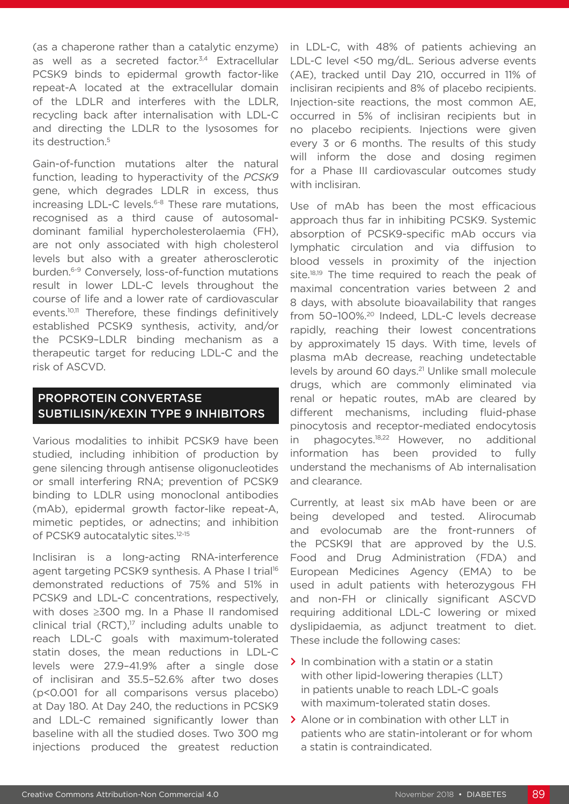(as a chaperone rather than a catalytic enzyme) as well as a secreted factor.<sup>3,4</sup> Extracellular PCSK9 binds to epidermal growth factor-like repeat-A located at the extracellular domain of the LDLR and interferes with the LDLR, recycling back after internalisation with LDL-C and directing the LDLR to the lysosomes for its destruction.<sup>5</sup>

Gain-of-function mutations alter the natural function, leading to hyperactivity of the *PCSK9* gene, which degrades LDLR in excess, thus increasing LDL-C levels.<sup>6-8</sup> These rare mutations, recognised as a third cause of autosomaldominant familial hypercholesterolaemia (FH), are not only associated with high cholesterol levels but also with a greater atherosclerotic burden.6-9 Conversely, loss-of-function mutations result in lower LDL-C levels throughout the course of life and a lower rate of cardiovascular events.<sup>10,11</sup> Therefore, these findings definitively established PCSK9 synthesis, activity, and/or the PCSK9–LDLR binding mechanism as a therapeutic target for reducing LDL-C and the risk of ASCVD.

## PROPROTEIN CONVERTASE SUBTILISIN/KEXIN TYPE 9 INHIBITORS

Various modalities to inhibit PCSK9 have been studied, including inhibition of production by gene silencing through antisense oligonucleotides or small interfering RNA; prevention of PCSK9 binding to LDLR using monoclonal antibodies (mAb), epidermal growth factor-like repeat-A, mimetic peptides, or adnectins; and inhibition of PCSK9 autocatalytic sites.12-15

Inclisiran is a long-acting RNA-interference agent targeting PCSK9 synthesis. A Phase I trial<sup>16</sup> demonstrated reductions of 75% and 51% in PCSK9 and LDL-C concentrations, respectively, with doses ≥300 mg. In a Phase II randomised clinical trial  $(RCT)$ ,<sup>17</sup> including adults unable to reach LDL-C goals with maximum-tolerated statin doses, the mean reductions in LDL-C levels were 27.9–41.9% after a single dose of inclisiran and 35.5–52.6% after two doses (p<0.001 for all comparisons versus placebo) at Day 180. At Day 240, the reductions in PCSK9 and LDL-C remained significantly lower than baseline with all the studied doses. Two 300 mg injections produced the greatest reduction in LDL-C, with 48% of patients achieving an LDL-C level <50 mg/dL. Serious adverse events (AE), tracked until Day 210, occurred in 11% of inclisiran recipients and 8% of placebo recipients. Injection-site reactions, the most common AE, occurred in 5% of inclisiran recipients but in no placebo recipients. Injections were given every 3 or 6 months. The results of this study will inform the dose and dosing regimen for a Phase III cardiovascular outcomes study with inclisiran.

Use of mAb has been the most efficacious approach thus far in inhibiting PCSK9. Systemic absorption of PCSK9-specific mAb occurs via lymphatic circulation and via diffusion to blood vessels in proximity of the injection site.<sup>18,19</sup> The time required to reach the peak of maximal concentration varies between 2 and 8 days, with absolute bioavailability that ranges from 50-100%.<sup>20</sup> Indeed, LDL-C levels decrease rapidly, reaching their lowest concentrations by approximately 15 days. With time, levels of plasma mAb decrease, reaching undetectable levels by around 60 days.<sup>21</sup> Unlike small molecule drugs, which are commonly eliminated via renal or hepatic routes, mAb are cleared by different mechanisms, including fluid-phase pinocytosis and receptor-mediated endocytosis in phagocytes.18,22 However, no additional information has been provided to fully understand the mechanisms of Ab internalisation and clearance.

Currently, at least six mAb have been or are being developed and tested. Alirocumab and evolocumab are the front-runners of the PCSK9I that are approved by the U.S. Food and Drug Administration (FDA) and European Medicines Agency (EMA) to be used in adult patients with heterozygous FH and non-FH or clinically significant ASCVD requiring additional LDL-C lowering or mixed dyslipidaemia, as adjunct treatment to diet. These include the following cases:

- **>** In combination with a statin or a statin with other lipid-lowering therapies (LLT) in patients unable to reach LDL-C goals with maximum-tolerated statin doses.
- **>** Alone or in combination with other LLT in patients who are statin-intolerant or for whom a statin is contraindicated.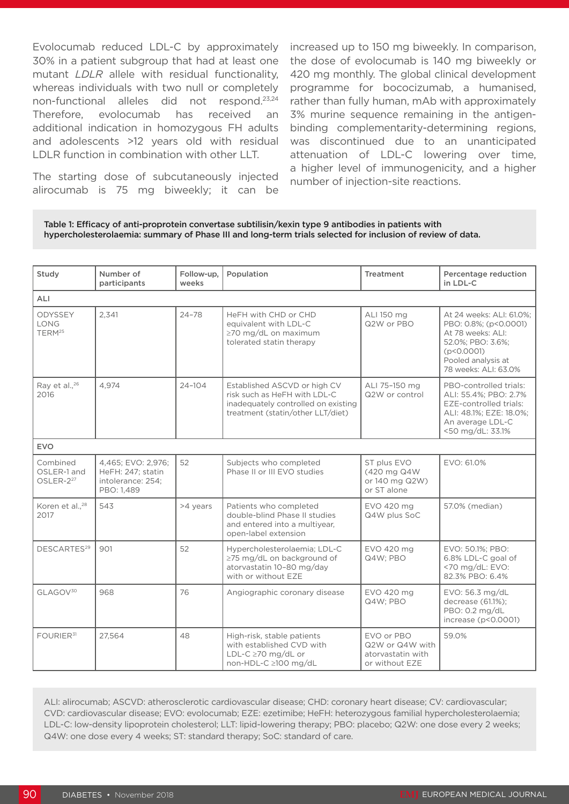Evolocumab reduced LDL-C by approximately 30% in a patient subgroup that had at least one mutant *LDLR* allele with residual functionality, whereas individuals with two null or completely non-functional alleles did not respond.23,24 Therefore, evolocumab has received an additional indication in homozygous FH adults and adolescents >12 years old with residual LDLR function in combination with other LLT.

The starting dose of subcutaneously injected alirocumab is 75 mg biweekly; it can be

increased up to 150 mg biweekly. In comparison, the dose of evolocumab is 140 mg biweekly or 420 mg monthly. The global clinical development programme for bococizumab, a humanised, rather than fully human, mAb with approximately 3% murine sequence remaining in the antigenbinding complementarity-determining regions, was discontinued due to an unanticipated attenuation of LDL-C lowering over time, a higher level of immunogenicity, and a higher number of injection-site reactions.

Table 1: Efficacy of anti-proprotein convertase subtilisin/kexin type 9 antibodies in patients with hypercholesterolaemia: summary of Phase III and long-term trials selected for inclusion of review of data.

| Study                                            | Number of<br>participants                                                  | Follow-up,<br>weeks | Population                                                                                                                               | <b>Treatment</b>                                                     | Percentage reduction<br>in LDL-C                                                                                                             |  |
|--------------------------------------------------|----------------------------------------------------------------------------|---------------------|------------------------------------------------------------------------------------------------------------------------------------------|----------------------------------------------------------------------|----------------------------------------------------------------------------------------------------------------------------------------------|--|
| <b>ALI</b>                                       |                                                                            |                     |                                                                                                                                          |                                                                      |                                                                                                                                              |  |
| ODYSSEY<br><b>LONG</b><br>TERM <sup>25</sup>     | 2.341                                                                      | $24 - 78$           | HeFH with CHD or CHD<br>equivalent with LDL-C<br>≥70 mg/dL on maximum<br>tolerated statin therapy                                        | ALI 150 mg<br>Q2W or PBO                                             |                                                                                                                                              |  |
| Ray et al., <sup>26</sup><br>2016                | 4.974                                                                      | $24 - 104$          | Established ASCVD or high CV<br>risk such as HeFH with LDL-C<br>inadequately controlled on existing<br>treatment (statin/other LLT/diet) | ALI 75-150 mg<br>Q2W or control                                      | PBO-controlled trials:<br>ALI: 55.4%; PBO: 2.7%<br>EZE-controlled trials:<br>ALI: 48.1%; EZE: 18.0%;<br>An average LDL-C<br><50 mg/dL: 33.1% |  |
| <b>EVO</b>                                       |                                                                            |                     |                                                                                                                                          |                                                                      |                                                                                                                                              |  |
| Combined<br>OSLER-1 and<br>OSLER-2 <sup>27</sup> | 4,465; EVO: 2,976;<br>HeFH: 247; statin<br>intolerance: 254:<br>PBO: 1,489 | 52                  | Subjects who completed<br>Phase II or III EVO studies                                                                                    | ST plus EVO<br>(420 mg Q4W<br>or 140 mg Q2W)<br>or ST alone          | EVO: 61.0%                                                                                                                                   |  |
| Koren et al., <sup>28</sup><br>2017              | 543                                                                        | >4 years            | Patients who completed<br>double-blind Phase II studies<br>and entered into a multiyear,<br>open-label extension                         | EVO 420 mg<br>Q4W plus SoC                                           | 57.0% (median)                                                                                                                               |  |
| DESCARTES <sup>29</sup>                          | 901                                                                        | 52                  | Hypercholesterolaemia; LDL-C<br>$\geq$ 75 mg/dL on background of<br>atorvastatin 10-80 mg/day<br>with or without EZE                     | EVO 420 mg<br>Q4W: PBO                                               | EVO: 50.1%; PBO:<br>6.8% LDL-C goal of<br><70 mg/dL: EVO:<br>82.3% PBO: 6.4%                                                                 |  |
| GLAGOV30                                         | 968                                                                        | 76                  | Angiographic coronary disease                                                                                                            | EVO 420 mg<br>Q4W; PBO                                               | EVO: 56.3 mg/dL<br>decrease (61.1%);<br>PBO: 0.2 mg/dL<br>increase ( $p < 0.0001$ )                                                          |  |
| FOURIER <sup>31</sup>                            | 27,564                                                                     | 48                  | High-risk, stable patients<br>with established CVD with<br>LDL-C $\geq$ 70 mg/dL or<br>non-HDL-C ≥100 mg/dL                              | EVO or PBO<br>Q2W or Q4W with<br>atorvastatin with<br>or without EZE | 59.0%                                                                                                                                        |  |

ALI: alirocumab; ASCVD: atherosclerotic cardiovascular disease; CHD: coronary heart disease; CV: cardiovascular; CVD: cardiovascular disease; EVO: evolocumab; EZE: ezetimibe; HeFH: heterozygous familial hypercholesterolaemia; LDL-C: low-density lipoprotein cholesterol; LLT: lipid-lowering therapy; PBO: placebo; Q2W: one dose every 2 weeks; Q4W: one dose every 4 weeks; ST: standard therapy; SoC: standard of care.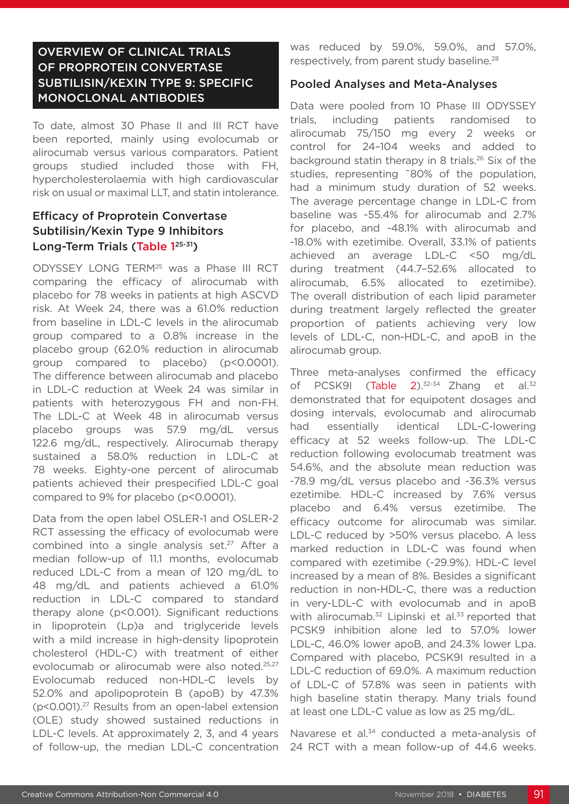## OVERVIEW OF CLINICAL TRIALS OF PROPROTEIN CONVERTASE SUBTILISIN/KEXIN TYPE 9: SPECIFIC MONOCLONAL ANTIBODIES

To date, almost 30 Phase II and III RCT have been reported, mainly using evolocumab or alirocumab versus various comparators. Patient groups studied included those with FH, hypercholesterolaemia with high cardiovascular risk on usual or maximal LLT, and statin intolerance.

## Efficacy of Proprotein Convertase Subtilisin/Kexin Type 9 Inhibitors Long-Term Trials (Table 125-31)

ODYSSEY LONG TERM25 was a Phase III RCT comparing the efficacy of alirocumab with placebo for 78 weeks in patients at high ASCVD risk. At Week 24, there was a 61.0% reduction from baseline in LDL-C levels in the alirocumab group compared to a 0.8% increase in the placebo group (62.0% reduction in alirocumab group compared to placebo) (p<0.0001). The difference between alirocumab and placebo in LDL-C reduction at Week 24 was similar in patients with heterozygous FH and non-FH. The LDL-C at Week 48 in alirocumab versus placebo groups was 57.9 mg/dL versus 122.6 mg/dL, respectively. Alirocumab therapy sustained a 58.0% reduction in LDL-C at 78 weeks. Eighty-one percent of alirocumab patients achieved their prespecified LDL-C goal compared to 9% for placebo (p<0.0001).

Data from the open label OSLER-1 and OSLER-2 RCT assessing the efficacy of evolocumab were combined into a single analysis set.<sup>27</sup> After a median follow-up of 11.1 months, evolocumab reduced LDL-C from a mean of 120 mg/dL to 48 mg/dL and patients achieved a 61.0% reduction in LDL-C compared to standard therapy alone (p<0.001). Significant reductions in lipoprotein (Lp)a and triglyceride levels with a mild increase in high-density lipoprotein cholesterol (HDL-C) with treatment of either evolocumab or alirocumab were also noted.<sup>25,27</sup> Evolocumab reduced non-HDL-C levels by 52.0% and apolipoprotein B (apoB) by 47.3% (p<0.001).27 Results from an open-label extension (OLE) study showed sustained reductions in LDL-C levels. At approximately 2, 3, and 4 years of follow-up, the median LDL-C concentration

was reduced by 59.0%, 59.0%, and 57.0%, respectively, from parent study baseline.<sup>28</sup>

#### Pooled Analyses and Meta-Analyses

Data were pooled from 10 Phase III ODYSSEY trials, including patients randomised to alirocumab 75/150 mg every 2 weeks or control for 24–104 weeks and added to background statin therapy in 8 trials.<sup>26</sup> Six of the studies, representing ˜80% of the population, had a minimum study duration of 52 weeks. The average percentage change in LDL-C from baseline was -55.4% for alirocumab and 2.7% for placebo, and -48.1% with alirocumab and -18.0% with ezetimibe. Overall, 33.1% of patients achieved an average LDL-C <50 mg/dL during treatment (44.7–52.6% allocated to alirocumab, 6.5% allocated to ezetimibe). The overall distribution of each lipid parameter during treatment largely reflected the greater proportion of patients achieving very low levels of LDL-C, non-HDL-C, and apoB in the alirocumab group.

Three meta-analyses confirmed the efficacy of PCSK9I (Table 2).<sup>32-34</sup> Zhang et al.<sup>32</sup> demonstrated that for equipotent dosages and dosing intervals, evolocumab and alirocumab had essentially identical LDL-C-lowering efficacy at 52 weeks follow-up. The LDL-C reduction following evolocumab treatment was 54.6%, and the absolute mean reduction was -78.9 mg/dL versus placebo and -36.3% versus ezetimibe. HDL-C increased by 7.6% versus placebo and 6.4% versus ezetimibe. The efficacy outcome for alirocumab was similar. LDL-C reduced by >50% versus placebo. A less marked reduction in LDL-C was found when compared with ezetimibe (-29.9%). HDL-C level increased by a mean of 8%. Besides a significant reduction in non-HDL-C, there was a reduction in very-LDL-C with evolocumab and in apoB with alirocumab. $32$  Lipinski et al. $33$  reported that PCSK9 inhibition alone led to 57.0% lower LDL-C, 46.0% lower apoB, and 24.3% lower Lpa. Compared with placebo, PCSK9I resulted in a LDL-C reduction of 69.0%. A maximum reduction of LDL-C of 57.8% was seen in patients with high baseline statin therapy. Many trials found at least one LDL-C value as low as 25 mg/dL.

Navarese et al.<sup>34</sup> conducted a meta-analysis of 24 RCT with a mean follow-up of 44.6 weeks.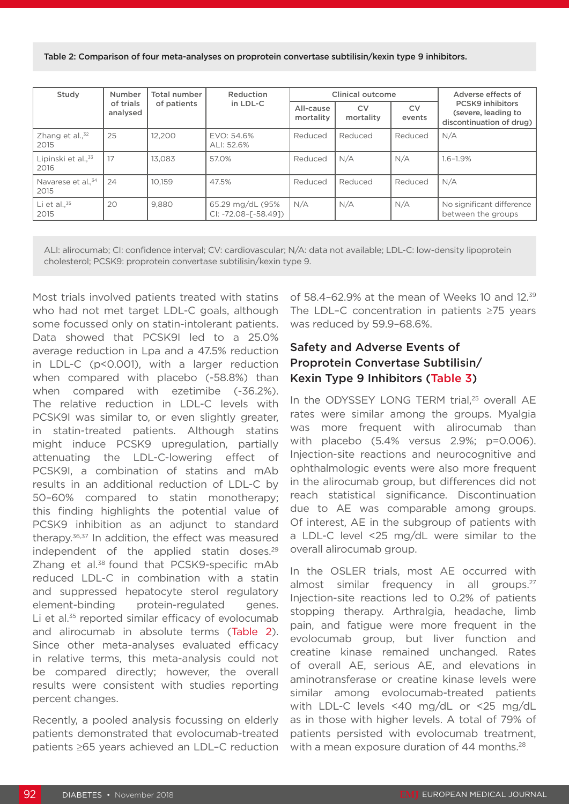Table 2: Comparison of four meta-analyses on proprotein convertase subtilisin/kexin type 9 inhibitors.

| Study                                  | Number                | Total number | Reduction                                | Clinical outcome       |                        |                     | Adverse effects of                                                         |  |
|----------------------------------------|-----------------------|--------------|------------------------------------------|------------------------|------------------------|---------------------|----------------------------------------------------------------------------|--|
|                                        | of trials<br>analysed | of patients  | in LDL-C                                 | All-cause<br>mortality | <b>CV</b><br>mortality | <b>CV</b><br>events | <b>PCSK9</b> inhibitors<br>(severe, leading to<br>discontinuation of drug) |  |
| Zhang et al., $32$<br>2015             | 25                    | 12.200       | EVO: 54.6%<br>ALI: 52.6%                 | Reduced                | Reduced                | Reduced             | N/A                                                                        |  |
| Lipinski et al., 33<br>2016            | 17                    | 13.083       | 57.0%                                    | Reduced                | N/A                    | N/A                 | $1.6 - 1.9%$                                                               |  |
| Navarese et al., <sup>34</sup><br>2015 | 24                    | 10.159       | 47.5%                                    | Reduced                | Reduced                | Reduced             | N/A                                                                        |  |
| Li et al., $35$<br>2015                | 20                    | 9.880        | 65.29 mg/dL (95%<br>CI: -72.08-[-58.49]) | N/A                    | N/A                    | N/A                 | No significant difference<br>between the groups                            |  |

ALI: alirocumab; CI: confidence interval; CV: cardiovascular; N/A: data not available; LDL-C: low-density lipoprotein cholesterol; PCSK9: proprotein convertase subtilisin/kexin type 9.

Most trials involved patients treated with statins who had not met target LDL-C goals, although some focussed only on statin-intolerant patients. Data showed that PCSK9I led to a 25.0% average reduction in Lpa and a 47.5% reduction in LDL-C (p<0.001), with a larger reduction when compared with placebo (-58.8%) than when compared with ezetimibe (-36.2%). The relative reduction in LDL-C levels with PCSK9I was similar to, or even slightly greater, in statin-treated patients. Although statins might induce PCSK9 upregulation, partially attenuating the LDL-C-lowering effect of PCSK9I, a combination of statins and mAb results in an additional reduction of LDL-C by 50–60% compared to statin monotherapy; this finding highlights the potential value of PCSK9 inhibition as an adjunct to standard therapy.36,37 In addition, the effect was measured independent of the applied statin doses.<sup>29</sup> Zhang et al.<sup>38</sup> found that PCSK9-specific mAb reduced LDL-C in combination with a statin and suppressed hepatocyte sterol regulatory element-binding protein-regulated genes. Li et al.<sup>35</sup> reported similar efficacy of evolocumab and alirocumab in absolute terms (Table 2). Since other meta-analyses evaluated efficacy in relative terms, this meta-analysis could not be compared directly; however, the overall results were consistent with studies reporting percent changes.

Recently, a pooled analysis focussing on elderly patients demonstrated that evolocumab-treated patients ≥65 years achieved an LDL–C reduction of 58.4-62.9% at the mean of Weeks 10 and 12.<sup>39</sup> The LDL–C concentration in patients ≥75 years was reduced by 59.9–68.6%.

## Safety and Adverse Events of Proprotein Convertase Subtilisin/ Kexin Type 9 Inhibitors (Table 3)

In the ODYSSEY LONG TERM trial,<sup>25</sup> overall AE rates were similar among the groups. Myalgia was more frequent with alirocumab than with placebo (5.4% versus 2.9%; p=0.006). Injection-site reactions and neurocognitive and ophthalmologic events were also more frequent in the alirocumab group, but differences did not reach statistical significance. Discontinuation due to AE was comparable among groups. Of interest, AE in the subgroup of patients with a LDL-C level <25 mg/dL were similar to the overall alirocumab group.

In the OSLER trials, most AE occurred with almost similar frequency in all groups.<sup>27</sup> Injection-site reactions led to 0.2% of patients stopping therapy. Arthralgia, headache, limb pain, and fatigue were more frequent in the evolocumab group, but liver function and creatine kinase remained unchanged. Rates of overall AE, serious AE, and elevations in aminotransferase or creatine kinase levels were similar among evolocumab-treated patients with LDL-C levels <40 mg/dL or <25 mg/dL as in those with higher levels. A total of 79% of patients persisted with evolocumab treatment, with a mean exposure duration of 44 months.<sup>28</sup>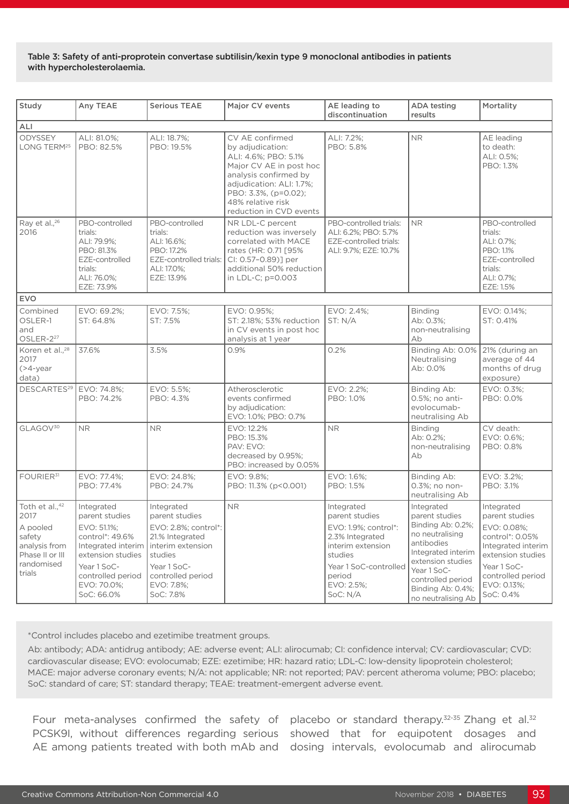#### Table 3: Safety of anti-proprotein convertase subtilisin/kexin type 9 monoclonal antibodies in patients with hypercholesterolaemia.

| Study                                                                                                                | Any TEAE                                                                                                                                                                   | <b>Serious TEAE</b>                                                                                                                                                    | Maior CV events                                                                                                                                                                                                     | AE leading to<br>discontinuation                                                                                                                                     | <b>ADA testing</b><br>results                                                                                                                                                                                | Mortality                                                                                                                                                                 |
|----------------------------------------------------------------------------------------------------------------------|----------------------------------------------------------------------------------------------------------------------------------------------------------------------------|------------------------------------------------------------------------------------------------------------------------------------------------------------------------|---------------------------------------------------------------------------------------------------------------------------------------------------------------------------------------------------------------------|----------------------------------------------------------------------------------------------------------------------------------------------------------------------|--------------------------------------------------------------------------------------------------------------------------------------------------------------------------------------------------------------|---------------------------------------------------------------------------------------------------------------------------------------------------------------------------|
| ALI                                                                                                                  |                                                                                                                                                                            |                                                                                                                                                                        |                                                                                                                                                                                                                     |                                                                                                                                                                      |                                                                                                                                                                                                              |                                                                                                                                                                           |
| ODYSSEY<br>LONG TERM <sup>25</sup>                                                                                   | ALI: 81.0%;<br>PBO: 82.5%                                                                                                                                                  | ALI: 18.7%;<br>PBO: 19.5%                                                                                                                                              | CV AE confirmed<br>by adjudication:<br>ALI: 4.6%: PBO: 5.1%<br>Major CV AE in post hoc<br>analysis confirmed by<br>adjudication: ALI: 1.7%;<br>PBO: 3.3%, (p=0.02);<br>48% relative risk<br>reduction in CVD events | ALI: 7.2%;<br>PBO: 5.8%                                                                                                                                              | <b>NR</b>                                                                                                                                                                                                    | AE leading<br>to death:<br>ALI: 0.5%:<br>PBO: 1.3%                                                                                                                        |
| Ray et al., <sup>26</sup><br>2016                                                                                    | PBO-controlled<br>trials:<br>ALI: 79.9%;<br>PBO: 81.3%<br>EZE-controlled<br>trials:<br>ALI: 76.0%;<br>EZE: 73.9%                                                           | PBO-controlled<br>trials:<br>ALI: 16.6%;<br>PBO: 17.2%<br>EZE-controlled trials:<br>ALI: 17.0%;<br>EZE: 13.9%                                                          | NR LDL-C percent<br>reduction was inversely<br>correlated with MACE<br>rates (HR: 0.71 [95%<br>Cl: 0.57-0.89)] per<br>additional 50% reduction<br>in LDL-C; p=0.003                                                 | PBO-controlled trials:<br>ALI: 6.2%; PBO: 5.7%<br>EZE-controlled trials:<br>ALI: 9.7%; EZE: 10.7%                                                                    | <b>NR</b>                                                                                                                                                                                                    | PBO-controlled<br>trials:<br>ALI: 0.7%;<br>PBO: 1.1%<br>EZE-controlled<br>trials:<br>ALI: 0.7%;<br>EZE: 1.5%                                                              |
| <b>EVO</b>                                                                                                           |                                                                                                                                                                            |                                                                                                                                                                        |                                                                                                                                                                                                                     |                                                                                                                                                                      |                                                                                                                                                                                                              |                                                                                                                                                                           |
| Combined<br>OSLER-1<br>and<br>OSLER-2 <sup>27</sup>                                                                  | EVO: 69.2%;<br>ST: 64.8%                                                                                                                                                   | EVO: 7.5%;<br>ST: 7.5%                                                                                                                                                 | EVO: 0.95%;<br>ST: 2.18%; 53% reduction<br>in CV events in post hoc<br>analysis at 1 year                                                                                                                           | EVO: 2.4%;<br>ST: N/A                                                                                                                                                | <b>Binding</b><br>Ab: 0.3%;<br>non-neutralising<br>Ab                                                                                                                                                        | EVO: 0.14%;<br>ST: 0.41%                                                                                                                                                  |
| Koren et al., <sup>28</sup><br>2017<br>$($ >4-year<br>data)                                                          | 37.6%                                                                                                                                                                      | 3.5%                                                                                                                                                                   | 0.9%                                                                                                                                                                                                                | 0.2%                                                                                                                                                                 | Binding Ab: 0.0%<br>Neutralising<br>Ab: 0.0%                                                                                                                                                                 | 21% (during an<br>average of 44<br>months of drug<br>exposure)                                                                                                            |
| DESCARTES <sup>29</sup>                                                                                              | EVO: 74.8%;<br>PBO: 74.2%                                                                                                                                                  | EVO: 5.5%;<br>PBO: 4.3%                                                                                                                                                | Atherosclerotic<br>events confirmed<br>by adjudication:<br>EVO: 1.0%; PBO: 0.7%                                                                                                                                     | EVO: 2.2%;<br>PBO: 1.0%                                                                                                                                              | Binding Ab:<br>0.5%; no anti-<br>evolocumab-<br>neutralising Ab                                                                                                                                              | EVO: 0.3%:<br>PBO: 0.0%                                                                                                                                                   |
| GLAGOV <sup>30</sup>                                                                                                 | <b>NR</b>                                                                                                                                                                  | <b>NR</b>                                                                                                                                                              | EVO: 12.2%<br>PBO: 15.3%<br>PAV: EVO:<br>decreased by 0.95%;<br>PBO: increased by 0.05%                                                                                                                             | <b>NR</b>                                                                                                                                                            | <b>Binding</b><br>Ab: 0.2%;<br>non-neutralising<br>Ab                                                                                                                                                        | CV death:<br>EVO: 0.6%;<br>PBO: 0.8%                                                                                                                                      |
| FOURIER <sup>31</sup>                                                                                                | EVO: 77.4%;<br>PBO: 77.4%                                                                                                                                                  | EVO: 24.8%;<br>PBO: 24.7%                                                                                                                                              | EVO: 9.8%:<br>PBO: 11.3% (p<0.001)                                                                                                                                                                                  | EVO: 1.6%:<br>PBO: 1.5%                                                                                                                                              | Binding Ab:<br>0.3%; no non-<br>neutralising Ab                                                                                                                                                              | EVO: 3.2%:<br>PBO: 3.1%                                                                                                                                                   |
| Toth et al., <sup>42</sup><br>2017<br>A pooled<br>safety<br>analysis from<br>Phase II or III<br>randomised<br>trials | Integrated<br>parent studies<br>EVO: 51.1%;<br>control*: 49.6%<br>Integrated interim<br>extension studies<br>Year 1 SoC-<br>controlled period<br>EVO: 70.0%;<br>SoC: 66.0% | Integrated<br>parent studies<br>EVO: 2.8%; control*:<br>21.% Integrated<br>interim extension<br>studies<br>Year 1 SoC-<br>controlled period<br>EVO: 7.8%;<br>SoC: 7.8% | ${\sf NR}$                                                                                                                                                                                                          | Integrated<br>parent studies<br>EVO: 1.9%; control*:<br>2.3% Integrated<br>interim extension<br>studies<br>Year 1 SoC-controlled<br>period<br>EVO: 2.5%:<br>SoC: N/A | Integrated<br>parent studies<br>Binding Ab: 0.2%;<br>no neutralising<br>antibodies<br>Integrated interim<br>extension studies<br>Year 1 SoC-<br>controlled period<br>Binding Ab: 0.4%;<br>no neutralising Ab | Integrated<br>parent studies<br>EVO: 0.08%;<br>control*: 0.05%<br>Integrated interim<br>extension studies<br>Year 1 SoC-<br>controlled period<br>EVO: 0.13%;<br>SoC: 0.4% |

\*Control includes placebo and ezetimibe treatment groups.

Ab: antibody; ADA: antidrug antibody; AE: adverse event; ALI: alirocumab; CI: confidence interval; CV: cardiovascular; CVD: cardiovascular disease; EVO: evolocumab; EZE: ezetimibe; HR: hazard ratio; LDL-C: low-density lipoprotein cholesterol; MACE: major adverse coronary events; N/A: not applicable; NR: not reported; PAV: percent atheroma volume; PBO: placebo; SoC: standard of care; ST: standard therapy; TEAE: treatment-emergent adverse event.

Four meta-analyses confirmed the safety of placebo or standard therapy.<sup>32-35</sup> Zhang et al.<sup>32</sup> PCSK9I, without differences regarding serious showed that for equipotent dosages and AE among patients treated with both mAb and dosing intervals, evolocumab and alirocumab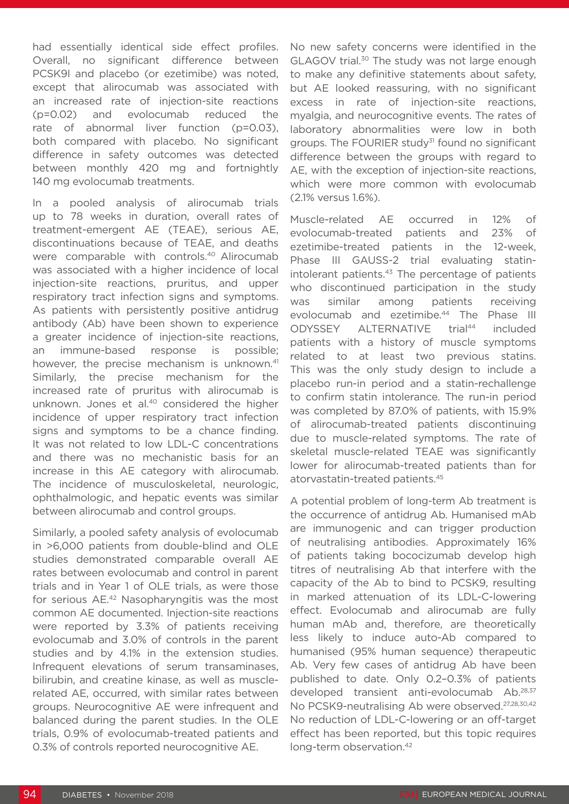had essentially identical side effect profiles. Overall, no significant difference between PCSK9I and placebo (or ezetimibe) was noted, except that alirocumab was associated with an increased rate of injection-site reactions (p=0.02) and evolocumab reduced the rate of abnormal liver function (p=0.03), both compared with placebo. No significant difference in safety outcomes was detected between monthly 420 mg and fortnightly 140 mg evolocumab treatments.

In a pooled analysis of alirocumab trials up to 78 weeks in duration, overall rates of treatment-emergent AE (TEAE), serious AE, discontinuations because of TEAE, and deaths were comparable with controls.<sup>40</sup> Alirocumab was associated with a higher incidence of local injection-site reactions, pruritus, and upper respiratory tract infection signs and symptoms. As patients with persistently positive antidrug antibody (Ab) have been shown to experience a greater incidence of injection-site reactions, an immune-based response is possible; however, the precise mechanism is unknown.<sup>41</sup> Similarly, the precise mechanism for the increased rate of pruritus with alirocumab is unknown. Jones et al.40 considered the higher incidence of upper respiratory tract infection signs and symptoms to be a chance finding. It was not related to low LDL-C concentrations and there was no mechanistic basis for an increase in this AE category with alirocumab. The incidence of musculoskeletal, neurologic, ophthalmologic, and hepatic events was similar between alirocumab and control groups.

Similarly, a pooled safety analysis of evolocumab in >6,000 patients from double-blind and OLE studies demonstrated comparable overall AE rates between evolocumab and control in parent trials and in Year 1 of OLE trials, as were those for serious AE.42 Nasopharyngitis was the most common AE documented. Injection-site reactions were reported by 3.3% of patients receiving evolocumab and 3.0% of controls in the parent studies and by 4.1% in the extension studies. Infrequent elevations of serum transaminases, bilirubin, and creatine kinase, as well as musclerelated AE, occurred, with similar rates between groups. Neurocognitive AE were infrequent and balanced during the parent studies. In the OLE trials, 0.9% of evolocumab-treated patients and 0.3% of controls reported neurocognitive AE.

No new safety concerns were identified in the GLAGOV trial.30 The study was not large enough to make any definitive statements about safety, but AE looked reassuring, with no significant excess in rate of injection-site reactions, myalgia, and neurocognitive events. The rates of laboratory abnormalities were low in both groups. The FOURIER study<sup>31</sup> found no significant difference between the groups with regard to AE, with the exception of injection-site reactions, which were more common with evolocumab (2.1% versus 1.6%).

Muscle-related AE occurred in 12% of evolocumab-treated patients and 23% of ezetimibe-treated patients in the 12-week, Phase III GAUSS-2 trial evaluating statinintolerant patients.<sup>43</sup> The percentage of patients who discontinued participation in the study was similar among patients receiving evolocumab and ezetimibe.<sup>44</sup> The Phase III ODYSSEY ALTERNATIVE trial<sup>44</sup> included patients with a history of muscle symptoms related to at least two previous statins. This was the only study design to include a placebo run-in period and a statin-rechallenge to confirm statin intolerance. The run-in period was completed by 87.0% of patients, with 15.9% of alirocumab-treated patients discontinuing due to muscle-related symptoms. The rate of skeletal muscle-related TEAE was significantly lower for alirocumab-treated patients than for atorvastatin-treated patients.45

A potential problem of long-term Ab treatment is the occurrence of antidrug Ab. Humanised mAb are immunogenic and can trigger production of neutralising antibodies. Approximately 16% of patients taking bococizumab develop high titres of neutralising Ab that interfere with the capacity of the Ab to bind to PCSK9, resulting in marked attenuation of its LDL-C-lowering effect. Evolocumab and alirocumab are fully human mAb and, therefore, are theoretically less likely to induce auto-Ab compared to humanised (95% human sequence) therapeutic Ab. Very few cases of antidrug Ab have been published to date. Only 0.2–0.3% of patients developed transient anti-evolocumab Ab.28,37 No PCSK9-neutralising Ab were observed.27,28,30,42 No reduction of LDL-C-lowering or an off-target effect has been reported, but this topic requires long-term observation.<sup>42</sup>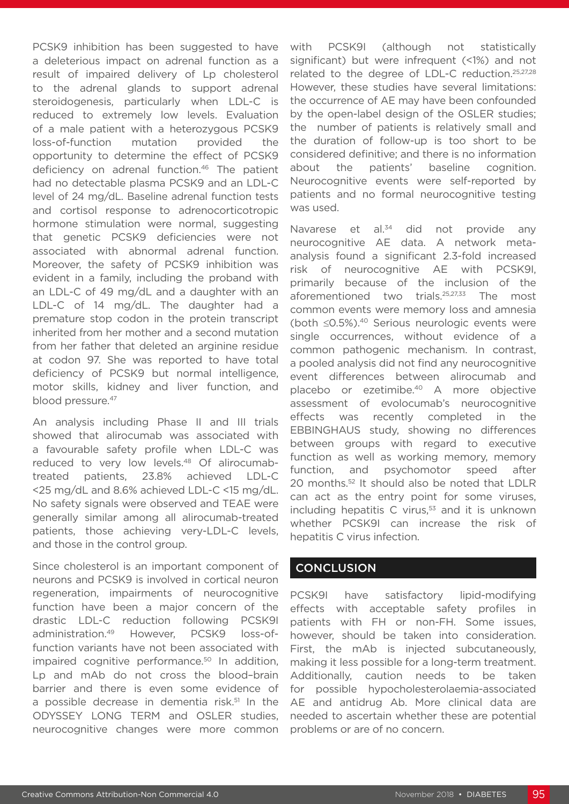PCSK9 inhibition has been suggested to have a deleterious impact on adrenal function as a result of impaired delivery of Lp cholesterol to the adrenal glands to support adrenal steroidogenesis, particularly when LDL-C is reduced to extremely low levels. Evaluation of a male patient with a heterozygous PCSK9 loss-of-function mutation provided the opportunity to determine the effect of PCSK9 deficiency on adrenal function.<sup>46</sup> The patient had no detectable plasma PCSK9 and an LDL-C level of 24 mg/dL. Baseline adrenal function tests and cortisol response to adrenocorticotropic hormone stimulation were normal, suggesting that genetic PCSK9 deficiencies were not associated with abnormal adrenal function. Moreover, the safety of PCSK9 inhibition was evident in a family, including the proband with an LDL-C of 49 mg/dL and a daughter with an LDL-C of 14 mg/dL. The daughter had a premature stop codon in the protein transcript inherited from her mother and a second mutation from her father that deleted an arginine residue at codon 97. She was reported to have total deficiency of PCSK9 but normal intelligence, motor skills, kidney and liver function, and blood pressure.<sup>47</sup>

An analysis including Phase II and III trials showed that alirocumab was associated with a favourable safety profile when LDL-C was reduced to very low levels.<sup>48</sup> Of alirocumabtreated patients, 23.8% achieved LDL-C <25 mg/dL and 8.6% achieved LDL-C <15 mg/dL. No safety signals were observed and TEAE were generally similar among all alirocumab-treated patients, those achieving very-LDL-C levels, and those in the control group.

Since cholesterol is an important component of neurons and PCSK9 is involved in cortical neuron regeneration, impairments of neurocognitive function have been a major concern of the drastic LDL-C reduction following PCSK9I administration.49 However, PCSK9 loss-offunction variants have not been associated with impaired cognitive performance.<sup>50</sup> In addition, Lp and mAb do not cross the blood–brain barrier and there is even some evidence of a possible decrease in dementia risk.<sup>51</sup> In the ODYSSEY LONG TERM and OSLER studies, neurocognitive changes were more common

with PCSK9I (although not statistically significant) but were infrequent (<1%) and not related to the degree of LDL-C reduction.<sup>25,27,28</sup> However, these studies have several limitations: the occurrence of AE may have been confounded by the open-label design of the OSLER studies; the number of patients is relatively small and the duration of follow-up is too short to be considered definitive; and there is no information about the patients' baseline cognition. Neurocognitive events were self-reported by patients and no formal neurocognitive testing was used.

Navarese et al.<sup>34</sup> did not provide any neurocognitive AE data. A network metaanalysis found a significant 2.3-fold increased risk of neurocognitive AE with PCSK9I, primarily because of the inclusion of the aforementioned two trials.25,27,33 The most common events were memory loss and amnesia (both ≤0.5%).40 Serious neurologic events were single occurrences, without evidence of a common pathogenic mechanism. In contrast, a pooled analysis did not find any neurocognitive event differences between alirocumab and placebo or ezetimibe.40 A more objective assessment of evolocumab's neurocognitive effects was recently completed in the EBBINGHAUS study, showing no differences between groups with regard to executive function as well as working memory, memory function, and psychomotor speed after 20 months.52 It should also be noted that LDLR can act as the entry point for some viruses, including hepatitis  $C$  virus,<sup>53</sup> and it is unknown whether PCSK9I can increase the risk of hepatitis C virus infection.

#### **CONCLUSION**

PCSK9I have satisfactory lipid-modifying effects with acceptable safety profiles in patients with FH or non-FH. Some issues, however, should be taken into consideration. First, the mAb is injected subcutaneously, making it less possible for a long-term treatment. Additionally, caution needs to be taken for possible hypocholesterolaemia-associated AE and antidrug Ab. More clinical data are needed to ascertain whether these are potential problems or are of no concern.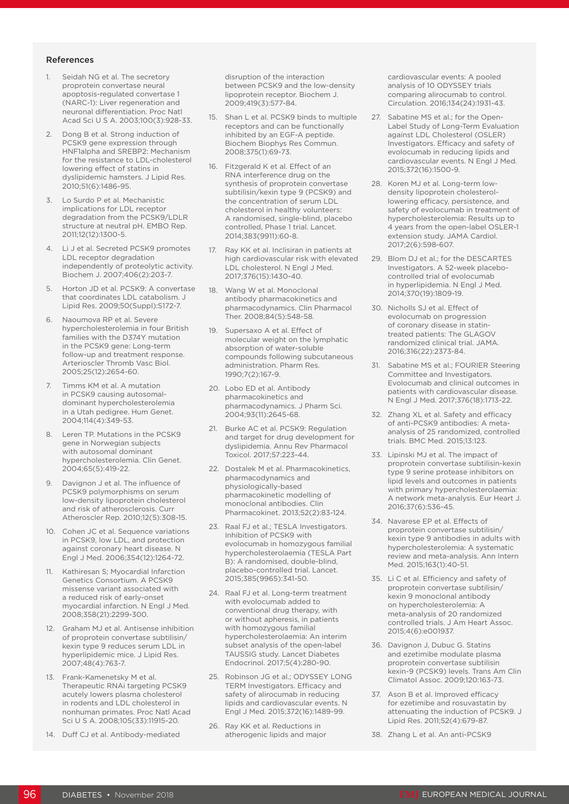#### References

- 1. Seidah NG et al. The secretory proprotein convertase neural apoptosis-regulated convertase 1 (NARC-1): Liver regeneration and neuronal differentiation. Proc Natl Acad Sci U S A. 2003;100(3):928-33.
- 2. Dong B et al. Strong induction of PCSK9 gene expression through HNF1alpha and SREBP2: Mechanism for the resistance to LDL-cholesterol lowering effect of statins in dyslipidemic hamsters. J Lipid Res. 2010;51(6):1486-95.
- 3. Lo Surdo P et al. Mechanistic implications for LDL receptor degradation from the PCSK9/LDLR structure at neutral pH. EMBO Rep. 2011;12(12):1300-5.
- 4. Li J et al. Secreted PCSK9 promotes LDL receptor degradation independently of proteolytic activity. Biochem J. 2007;406(2):203-7.
- Horton JD et al. PCSK9: A convertase that coordinates LDL catabolism. J Lipid Res. 2009;50(Suppl):S172-7.
- 6. Naoumova RP et al. Severe hypercholesterolemia in four British families with the D374Y mutation in the PCSK9 gene: Long-term follow-up and treatment response. Arterioscler Thromb Vasc Biol. 2005;25(12):2654-60.
- 7. Timms KM et al. A mutation in PCSK9 causing autosomaldominant hypercholesterolemia in a Utah pedigree. Hum Genet. 2004;114(4):349-53.
- 8. Leren TP. Mutations in the PCSK9 gene in Norwegian subjects with autosomal dominant hypercholesterolemia. Clin Genet. 2004;65(5):419-22.
- 9. Davignon J et al. The influence of PCSK9 polymorphisms on serum low-density lipoprotein cholesterol and risk of atherosclerosis. Curr Atheroscler Rep. 2010;12(5):308-15.
- 10. Cohen JC et al. Sequence variations in PCSK9, low LDL, and protection against coronary heart disease. N Engl J Med. 2006;354(12):1264-72.
- 11. Kathiresan S; Myocardial Infarction Genetics Consortium. A PCSK9 missense variant associated with a reduced risk of early-onset myocardial infarction. N Engl J Med. 2008;358(21):2299-300.
- 12. Graham MJ et al. Antisense inhibition of proprotein convertase subtilisin/ kexin type 9 reduces serum LDL in hyperlipidemic mice. J Lipid Res. 2007;48(4):763-7.
- 13. Frank-Kamenetsky M et al. Therapeutic RNAi targeting PCSK9 acutely lowers plasma cholesterol in rodents and LDL cholesterol in nonhuman primates. Proc Natl Acad Sci U S A. 2008;105(33):11915-20.
- 14. Duff CJ et al. Antibody-mediated

disruption of the interaction between PCSK9 and the low-density lipoprotein receptor. Biochem J. 2009;419(3):577-84.

- 15. Shan L et al. PCSK9 binds to multiple receptors and can be functionally inhibited by an EGF-A peptide. Biochem Biophys Res Commun. 2008;375(1):69-73.
- 16. Fitzgerald K et al. Effect of an RNA interference drug on the synthesis of proprotein convertase subtilisin/kexin type 9 (PCSK9) and the concentration of serum LDL cholesterol in healthy volunteers: A randomised, single-blind, placebo controlled, Phase 1 trial. Lancet. 2014;383(9911):60-8.
- 17. Ray KK et al. Inclisiran in patients at high cardiovascular risk with elevated LDL cholesterol. N Engl J Med. 2017;376(15):1430-40.
- 18. Wang W et al. Monoclonal antibody pharmacokinetics and pharmacodynamics. Clin Pharmacol Ther. 2008;84(5):548-58.
- 19. Supersaxo A et al. Effect of molecular weight on the lymphatic absorption of water-soluble compounds following subcutaneous administration. Pharm Res. 1990;7(2):167-9.
- 20. Lobo ED et al. Antibody pharmacokinetics and pharmacodynamics. J Pharm Sci. 2004;93(11):2645-68.
- 21. Burke AC et al. PCSK9: Regulation and target for drug development for dyslipidemia. Annu Rev Pharmacol Toxicol. 2017;57:223-44.
- 22. Dostalek M et al. Pharmacokinetics, pharmacodynamics and physiologically-based pharmacokinetic modelling of monoclonal antibodies. Clin Pharmacokinet. 2013;52(2):83-124.
- 23. Raal FJ et al.; TESLA Investigators. Inhibition of PCSK9 with evolocumab in homozygous familial hypercholesterolaemia (TESLA Part B): A randomised, double-blind, placebo-controlled trial. Lancet. 2015;385(9965):341-50.
- 24. Raal FJ et al. Long-term treatment with evolocumab added to conventional drug therapy, with or without apheresis, in patients with homozygous familial hypercholesterolaemia: An interim subset analysis of the open-label TAUSSIG study. Lancet Diabetes Endocrinol. 2017;5(4):280-90.
- 25. Robinson JG et al.; ODYSSEY LONG TERM Investigators. Efficacy and safety of alirocumab in reducing lipids and cardiovascular events. N Engl J Med. 2015;372(16):1489-99.
- 26. Ray KK et al. Reductions in atherogenic lipids and major

cardiovascular events: A pooled analysis of 10 ODYSSEY trials comparing alirocumab to control. Circulation. 2016;134(24):1931-43.

- 27. Sabatine MS et al.; for the Open-Label Study of Long-Term Evaluation against LDL Cholesterol (OSLER) Investigators. Efficacy and safety of evolocumab in reducing lipids and cardiovascular events. N Engl J Med. 2015;372(16):1500-9.
- 28. Koren MJ et al. Long-term lowdensity lipoprotein cholesterollowering efficacy, persistence, and safety of evolocumab in treatment of hypercholesterolemia: Results up to 4 years from the open-label OSLER-1 extension study. JAMA Cardiol. 2017;2(6):598-607.
- 29. Blom DJ et al.; for the DESCARTES Investigators. A 52-week placebocontrolled trial of evolocumab in hyperlipidemia. N Engl J Med. 2014;370(19):1809-19.
- 30. Nicholls SJ et al. Effect of evolocumab on progression of coronary disease in statintreated patients: The GLAGOV randomized clinical trial. JAMA. 2016;316(22):2373-84.
- 31. Sabatine MS et al.; FOURIER Steering Committee and Investigators. Evolocumab and clinical outcomes in patients with cardiovascular disease. N Engl J Med. 2017;376(18):1713-22.
- 32. Zhang XL et al. Safety and efficacy of anti-PCSK9 antibodies: A metaanalysis of 25 randomized, controlled trials. BMC Med. 2015;13:123.
- 33. Lipinski MJ et al. The impact of proprotein convertase subtilisin-kexin type 9 serine protease inhibitors on lipid levels and outcomes in patients with primary hypercholesterolaemia: A network meta-analysis. Eur Heart J. 2016;37(6):536-45.
- 34. Navarese EP et al. Effects of proprotein convertase subtilisin/ kexin type 9 antibodies in adults with hypercholesterolemia: A systematic review and meta-analysis. Ann Intern Med. 2015;163(1):40-51.
- 35. Li C et al. Efficiency and safety of proprotein convertase subtilisin/ kexin 9 monoclonal antibody on hypercholesterolemia: A meta-analysis of 20 randomized controlled trials. J Am Heart Assoc. 2015;4(6):e001937.
- 36. Davignon J, Dubuc G. Statins and ezetimibe modulate plasma proprotein convertase subtilisin kexin-9 (PCSK9) levels. Trans Am Clin Climatol Assoc. 2009;120:163-73.
- 37. Ason B et al. Improved efficacy for ezetimibe and rosuvastatin by attenuating the induction of PCSK9. J Lipid Res. 2011;52(4):679-87.
- 38. Zhang L et al. An anti-PCSK9